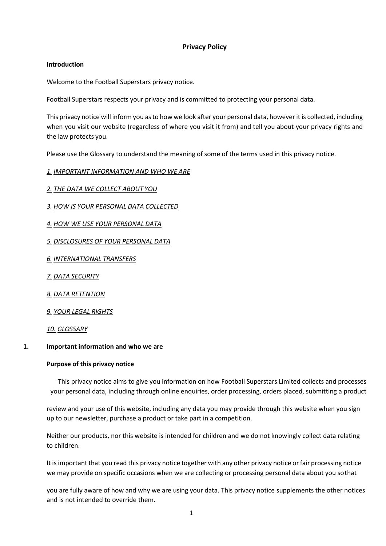# **Privacy Policy**

### **Introduction**

Welcome to the Football Superstars privacy notice.

Football Superstars respects your privacy and is committed to protecting your personal data.

This privacy notice will inform you asto how we look after your personal data, howeverit is collected, including when you visit our website (regardless of where you visit it from) and tell you about your privacy rights and the law protects you.

Please use the Glossary to understand the meaning of some of the terms used in this privacy notice.

### *1. [IMPORTANT INFORMATION AND WHO WE](#page-0-0) ARE*

- *2. [THE DATA WE COLLECT ABOUT](#page-2-0) YOU*
- *3. [HOW IS YOUR PERSONAL DATA](#page-3-0) COLLECTED*
- *4. [HOW WE USE YOUR PERSONAL](#page-3-1) DATA*
- *5. [DISCLOSURES OF YOUR PERSONAL](#page-6-0) DATA*
- *6. [INTERNATIONAL](#page-6-1) TRANSFERS*
- *7. DATA [SECURITY](#page-7-0)*
- *8. DATA [RETENTION](#page-7-1)*
- *9. [YOUR LEGAL](#page-7-2) RIGHTS*
- *10. [GLOSSARY](#page-8-0)*

#### <span id="page-0-0"></span>**1. Important information and who we are**

#### **Purpose of this privacy notice**

This privacy notice aims to give you information on how Football Superstars Limited collects and processes your personal data, including through online enquiries, order processing, orders placed, submitting a product

review and your use of this website, including any data you may provide through this website when you sign up to our newsletter, purchase a product or take part in a competition.

Neither our products, nor this website is intended for children and we do not knowingly collect data relating to children.

It isimportant that you read this privacy notice together with any other privacy notice or fair processing notice we may provide on specific occasions when we are collecting or processing personal data about you sothat

you are fully aware of how and why we are using your data. This privacy notice supplements the other notices and is not intended to override them.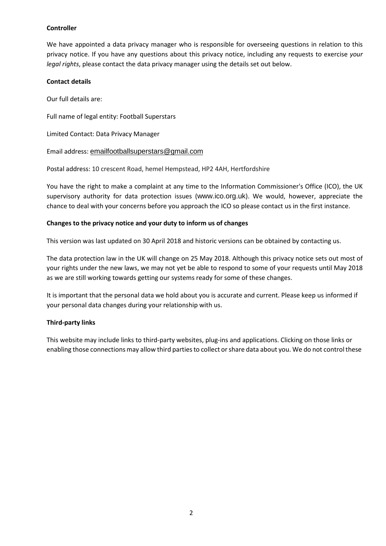### **Controller**

We have appointed a data privacy manager who is responsible for overseeing questions in relation to this privacy notice. If you have any questions about this privacy notice, including any requests to exercise *your legal rights*, please contact the data privacy manager using the details set out below.

### **Contact details**

Our full details are:

Full name of legal entity: Football Superstars

Limited Contact: Data Privacy Manager

### Email address: emailfootballsuperstars@gmail.com

Postal address: 10 crescent Road, hemel Hempstead, HP2 4AH, Hertfordshire

You have the right to make a complaint at any time to the Information Commissioner's Office (ICO), the UK supervisory authority for data protection issues (www.ico.org.uk). We would, however, appreciate the chance to deal with your concerns before you approach the ICO so please contact us in the first instance.

### **Changes to the privacy notice and your duty to inform us of changes**

This version was last updated on 30 April 2018 and historic versions can be obtained by contacting us.

The data protection law in the UK will change on 25 May 2018. Although this privacy notice sets out most of your rights under the new laws, we may not yet be able to respond to some of your requests until May 2018 as we are still working towards getting our systems ready for some of these changes.

It is important that the personal data we hold about you is accurate and current. Please keep us informed if your personal data changes during your relationship with us.

## **Third-party links**

This website may include links to third-party websites, plug-ins and applications. Clicking on those links or enabling those connections may allow third parties to collect or share data about you. We do not control these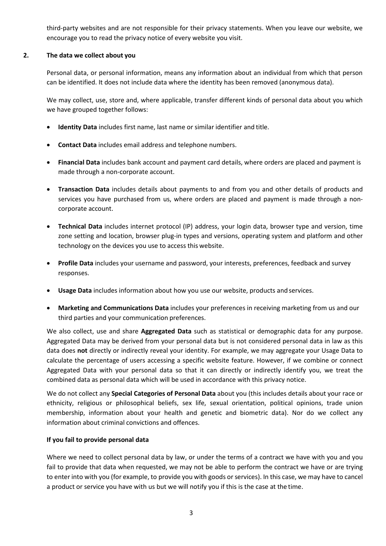third-party websites and are not responsible for their privacy statements. When you leave our website, we encourage you to read the privacy notice of every website you visit.

## <span id="page-2-0"></span>**2. The data we collect about you**

Personal data, or personal information, means any information about an individual from which that person can be identified. It does not include data where the identity has been removed (anonymous data).

We may collect, use, store and, where applicable, transfer different kinds of personal data about you which we have grouped together follows:

- **Identity Data** includes first name, last name or similar identifier and title.
- **Contact Data** includes email address and telephone numbers.
- **Financial Data** includes bank account and payment card details, where orders are placed and payment is made through a non-corporate account.
- **Transaction Data** includes details about payments to and from you and other details of products and services you have purchased from us, where orders are placed and payment is made through a noncorporate account.
- **Technical Data** includes internet protocol (IP) address, your login data, browser type and version, time zone setting and location, browser plug-in types and versions, operating system and platform and other technology on the devices you use to access this website.
- **Profile Data** includes your username and password, your interests, preferences, feedback and survey responses.
- **Usage Data** includes information about how you use our website, products and services.
- **Marketing and Communications Data** includes your preferences in receiving marketing from us and our third parties and your communication preferences.

We also collect, use and share **Aggregated Data** such as statistical or demographic data for any purpose. Aggregated Data may be derived from your personal data but is not considered personal data in law as this data does **not** directly or indirectly reveal your identity. For example, we may aggregate your Usage Data to calculate the percentage of users accessing a specific website feature. However, if we combine or connect Aggregated Data with your personal data so that it can directly or indirectly identify you, we treat the combined data as personal data which will be used in accordance with this privacy notice.

We do not collect any **Special Categories of Personal Data** about you (this includes details about your race or ethnicity, religious or philosophical beliefs, sex life, sexual orientation, political opinions, trade union membership, information about your health and genetic and biometric data). Nor do we collect any information about criminal convictions and offences.

## **If you fail to provide personal data**

Where we need to collect personal data by law, or under the terms of a contract we have with you and you fail to provide that data when requested, we may not be able to perform the contract we have or are trying to enter into with you (for example, to provide you with goods orservices). In this case, we may have to cancel a product or service you have with us but we will notify you if this is the case at the time.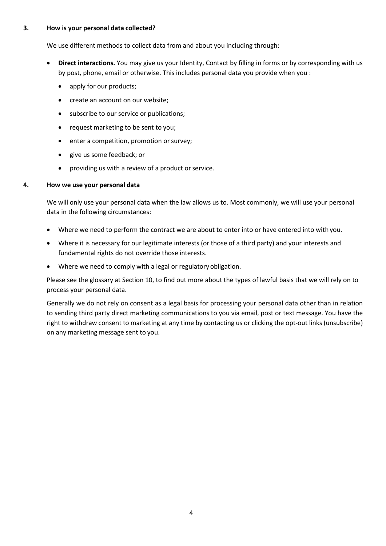#### <span id="page-3-0"></span>**3. How is your personal data collected?**

We use different methods to collect data from and about you including through:

- **Direct interactions.** You may give us your Identity, Contact by filling in forms or by corresponding with us by post, phone, email or otherwise. This includes personal data you provide when you :
	- apply for our products;
	- create an account on our website;
	- subscribe to our service or publications;
	- request marketing to be sent to you;
	- enter a competition, promotion or survey;
	- give us some feedback; or
	- providing us with a review of a product or service.

### <span id="page-3-1"></span>**4. How we use your personal data**

We will only use your personal data when the law allows us to. Most commonly, we will use your personal data in the following circumstances:

- Where we need to perform the contract we are about to enter into or have entered into with you.
- Where it is necessary for our legitimate interests (or those of a third party) and your interests and fundamental rights do not override those interests.
- Where we need to comply with a legal or regulatory obligation.

Please see the glossary at Section 10, to find out more about the types of lawful basis that we will rely on to process your personal data.

Generally we do not rely on consent as a legal basis for processing your personal data other than in relation to sending third party direct marketing communications to you via email, post or text message. You have the right to withdraw consent to marketing at any time by contacting us or clicking the opt-out links (unsubscribe) on any marketing message sent to you.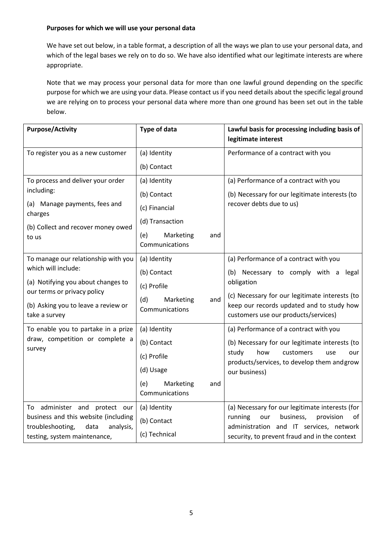### **Purposes for which we will use your personal data**

We have set out below, in a table format, a description of all the ways we plan to use your personal data, and which of the legal bases we rely on to do so. We have also identified what our legitimate interests are where appropriate.

Note that we may process your personal data for more than one lawful ground depending on the specific purpose for which we are using your data. Please contact us if you need details about the specific legal ground we are relying on to process your personal data where more than one ground has been set out in the table below.

| <b>Purpose/Activity</b>                                                          | <b>Type of data</b>                       | Lawful basis for processing including basis of<br>legitimate interest                                                               |
|----------------------------------------------------------------------------------|-------------------------------------------|-------------------------------------------------------------------------------------------------------------------------------------|
| To register you as a new customer                                                | (a) Identity                              | Performance of a contract with you                                                                                                  |
|                                                                                  | (b) Contact                               |                                                                                                                                     |
| To process and deliver your order                                                | (a) Identity                              | (a) Performance of a contract with you                                                                                              |
| including:                                                                       | (b) Contact                               | (b) Necessary for our legitimate interests (to                                                                                      |
| (a) Manage payments, fees and<br>charges                                         | (c) Financial                             | recover debts due to us)                                                                                                            |
| (b) Collect and recover money owed                                               | (d) Transaction                           |                                                                                                                                     |
| to us                                                                            | Marketing<br>(e)<br>and<br>Communications |                                                                                                                                     |
| To manage our relationship with you                                              | (a) Identity                              | (a) Performance of a contract with you                                                                                              |
| which will include:                                                              | (b) Contact                               | (b) Necessary to comply with a<br>legal                                                                                             |
| (a) Notifying you about changes to<br>our terms or privacy policy                | (c) Profile                               | obligation                                                                                                                          |
| (b) Asking you to leave a review or<br>take a survey                             | (d)<br>Marketing<br>and<br>Communications | (c) Necessary for our legitimate interests (to<br>keep our records updated and to study how<br>customers use our products/services) |
| To enable you to partake in a prize<br>draw, competition or complete a<br>survey | (a) Identity                              | (a) Performance of a contract with you                                                                                              |
|                                                                                  | (b) Contact                               | (b) Necessary for our legitimate interests (to                                                                                      |
|                                                                                  | (c) Profile                               | study<br>how<br>customers<br>use<br>our<br>products/services, to develop them and grow                                              |
|                                                                                  | (d) Usage                                 | our business)                                                                                                                       |
|                                                                                  | Marketing<br>(e)<br>and<br>Communications |                                                                                                                                     |
| To administer and protect our                                                    | (a) Identity                              | (a) Necessary for our legitimate interests (for                                                                                     |
| business and this website (including<br>troubleshooting,<br>data<br>analysis,    | (b) Contact                               | business,<br>provision<br>running<br>our<br>οf<br>administration and IT services, network                                           |
| testing, system maintenance,                                                     | (c) Technical                             | security, to prevent fraud and in the context                                                                                       |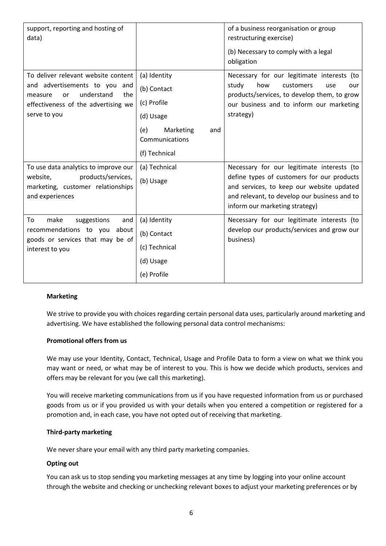| support, reporting and hosting of<br>data)                                                                                                                        |                                                                                                                       | of a business reorganisation or group<br>restructuring exercise)<br>(b) Necessary to comply with a legal<br>obligation                                                                                                  |
|-------------------------------------------------------------------------------------------------------------------------------------------------------------------|-----------------------------------------------------------------------------------------------------------------------|-------------------------------------------------------------------------------------------------------------------------------------------------------------------------------------------------------------------------|
| To deliver relevant website content<br>and advertisements to you and<br>understand<br>the<br>or<br>measure<br>effectiveness of the advertising we<br>serve to you | (a) Identity<br>(b) Contact<br>(c) Profile<br>(d) Usage<br>(e)<br>Marketing<br>and<br>Communications<br>(f) Technical | Necessary for our legitimate interests (to<br>study<br>how<br>customers<br>use<br>our<br>products/services, to develop them, to grow<br>our business and to inform our marketing<br>strategy)                           |
| To use data analytics to improve our<br>products/services,<br>website,<br>marketing, customer relationships<br>and experiences                                    | (a) Technical<br>(b) Usage                                                                                            | Necessary for our legitimate interests (to<br>define types of customers for our products<br>and services, to keep our website updated<br>and relevant, to develop our business and to<br>inform our marketing strategy) |
| make<br>suggestions<br>To<br>and<br>recommendations to you<br>about<br>goods or services that may be of<br>interest to you                                        | (a) Identity<br>(b) Contact<br>(c) Technical<br>(d) Usage<br>(e) Profile                                              | Necessary for our legitimate interests (to<br>develop our products/services and grow our<br>business)                                                                                                                   |

#### **Marketing**

We strive to provide you with choices regarding certain personal data uses, particularly around marketing and advertising. We have established the following personal data control mechanisms:

#### **Promotional offers from us**

We may use your Identity, Contact, Technical, Usage and Profile Data to form a view on what we think you may want or need, or what may be of interest to you. This is how we decide which products, services and offers may be relevant for you (we call this marketing).

You will receive marketing communications from us if you have requested information from us or purchased goods from us or if you provided us with your details when you entered a competition or registered for a promotion and, in each case, you have not opted out of receiving that marketing.

#### **Third-party marketing**

We never share your email with any third party marketing companies.

#### **Opting out**

You can ask us to stop sending you marketing messages at any time by logging into your online account through the website and checking or unchecking relevant boxes to adjust your marketing preferences or by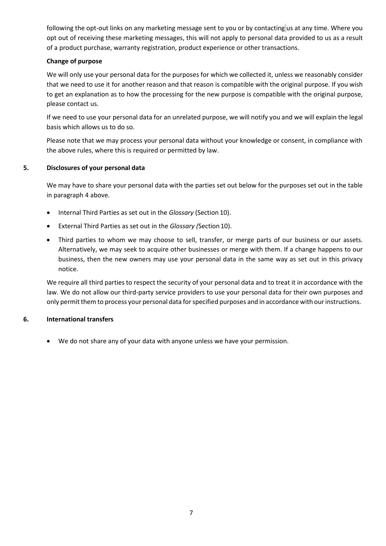following the opt-out links on any marketing message sent to you or by contacting us at any time. Where you opt out of receiving these marketing messages, this will not apply to personal data provided to us as a result of a product purchase, warranty registration, product experience or other transactions.

## **Change of purpose**

We will only use your personal data for the purposes for which we collected it, unless we reasonably consider that we need to use it for another reason and that reason is compatible with the original purpose. If you wish to get an explanation as to how the processing for the new purpose is compatible with the original purpose, please contact us.

If we need to use your personal data for an unrelated purpose, we will notify you and we will explain the legal basis which allows us to do so.

Please note that we may process your personal data without your knowledge or consent, in compliance with the above rules, where this is required or permitted by law.

## <span id="page-6-0"></span>**5. Disclosures of your personal data**

We may have to share your personal data with the parties set out below for the purposes set out in the table in paragraph 4 above.

- Internal Third Parties as set out in the *Glossary* (Section 10).
- External Third Parties as set out in the *Glossary (*Section10).
- Third parties to whom we may choose to sell, transfer, or merge parts of our business or our assets. Alternatively, we may seek to acquire other businesses or merge with them. If a change happens to our business, then the new owners may use your personal data in the same way as set out in this privacy notice.

We require all third parties to respect the security of your personal data and to treat it in accordance with the law. We do not allow our third-party service providers to use your personal data for their own purposes and only permit them to process your personal data for specified purposes and in accordance with our instructions.

## <span id="page-6-1"></span>**6. International transfers**

• We do not share any of your data with anyone unless we have your permission.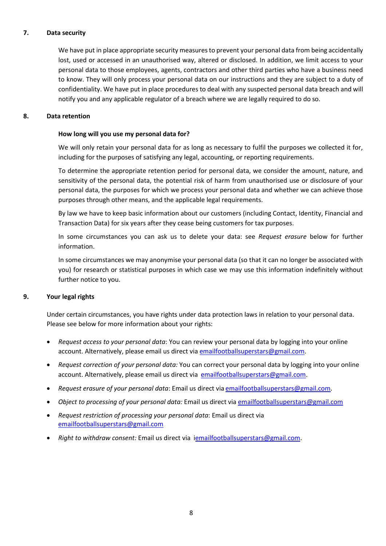## <span id="page-7-0"></span>**7. Data security**

We have put in place appropriate security measures to prevent your personal data from being accidentally lost, used or accessed in an unauthorised way, altered or disclosed. In addition, we limit access to your personal data to those employees, agents, contractors and other third parties who have a business need to know. They will only process your personal data on our instructions and they are subject to a duty of confidentiality. We have put in place procedures to deal with any suspected personal data breach and will notify you and any applicable regulator of a breach where we are legally required to do so.

### <span id="page-7-1"></span>**8. Data retention**

### **How long will you use my personal data for?**

We will only retain your personal data for as long as necessary to fulfil the purposes we collected it for, including for the purposes of satisfying any legal, accounting, or reporting requirements.

To determine the appropriate retention period for personal data, we consider the amount, nature, and sensitivity of the personal data, the potential risk of harm from unauthorised use or disclosure of your personal data, the purposes for which we process your personal data and whether we can achieve those purposes through other means, and the applicable legal requirements.

By law we have to keep basic information about our customers (including Contact, Identity, Financial and Transaction Data) for six years after they cease being customers for tax purposes.

In some circumstances you can ask us to delete your data: see *Request erasure* below for further information.

In some circumstances we may anonymise your personal data (so that it can no longer be associated with you) for research or statistical purposes in which case we may use this information indefinitely without further notice to you.

#### <span id="page-7-2"></span>**9. Your legal rights**

Under certain circumstances, you have rights under data protection laws in relation to your personal data. Please see below for more information about your rights:

- *Request access to your personal data*: You can review your personal data by logging into your online account. Alternatively, please email us direct via [emailfootballsuperstars@gmail.com.](mailto:emailfootballsuperstars@gmail.com)
- *Request correction of your personal data:* You can correct your personal data by logging into your online account. Alternatively, please email us direct via [emailfootballsuperstars@gmail.com.](mailto:support@toolstream.com)
- *Request erasure of your personal data*: Email us direct via [emailfootballsuperstars@gmail.com](mailto:emailfootballsuperstars@gmail.com)[.](mailto:support@toolstream.com)
- *Object to processing of your personal data:* Email us direct via [emailfootballsuperstars@gmail.com](mailto:emailfootballsuperstars@gmail.com)
- *Request restriction of processing your personal data*: Email us direct via [emailfootballsuperstars@gmail.com](mailto:emailfootballsuperstars@gmail.com)
- *Right to withdraw consent:* Email us direct via [iemailfootballsuperstars@gmail.com.](mailto:support@toolstream.com)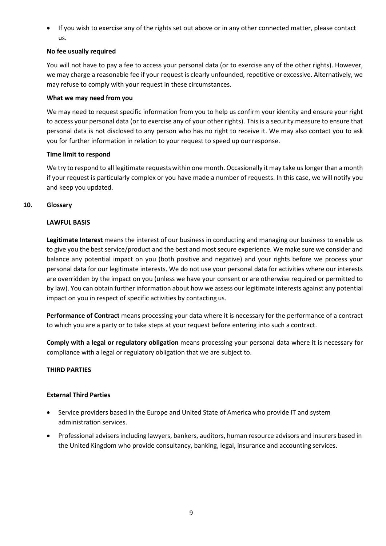• If you wish to exercise any of the rights set out above or in any other connected matter, please contact us.

## **No fee usually required**

You will not have to pay a fee to access your personal data (or to exercise any of the other rights). However, we may charge a reasonable fee if your request is clearly unfounded, repetitive or excessive. Alternatively, we may refuse to comply with your request in these circumstances.

## **What we may need from you**

We may need to request specific information from you to help us confirm your identity and ensure your right to access your personal data (or to exercise any of your other rights). This is a security measure to ensure that personal data is not disclosed to any person who has no right to receive it. We may also contact you to ask you for further information in relation to your request to speed up ourresponse.

## **Time limit to respond**

We try to respond to all legitimate requests within one month. Occasionally it may take us longer than a month if your request is particularly complex or you have made a number of requests. In this case, we will notify you and keep you updated.

### <span id="page-8-0"></span>**10. Glossary**

## **LAWFUL BASIS**

**Legitimate Interest** means the interest of our business in conducting and managing our business to enable us to give you the best service/product and the best and most secure experience. We make sure we consider and balance any potential impact on you (both positive and negative) and your rights before we process your personal data for our legitimate interests. We do not use your personal data for activities where our interests are overridden by the impact on you (unless we have your consent or are otherwise required or permitted to by law). You can obtain further information about how we assess our legitimate interests against any potential impact on you in respect of specific activities by contacting us.

**Performance of Contract** means processing your data where it is necessary for the performance of a contract to which you are a party or to take steps at your request before entering into such a contract.

**Comply with a legal or regulatory obligation** means processing your personal data where it is necessary for compliance with a legal or regulatory obligation that we are subject to.

#### **THIRD PARTIES**

## **External Third Parties**

- Service providers based in the Europe and United State of America who provide IT and system administration services.
- Professional advisers including lawyers, bankers, auditors, human resource advisors and insurers based in the United Kingdom who provide consultancy, banking, legal, insurance and accounting services.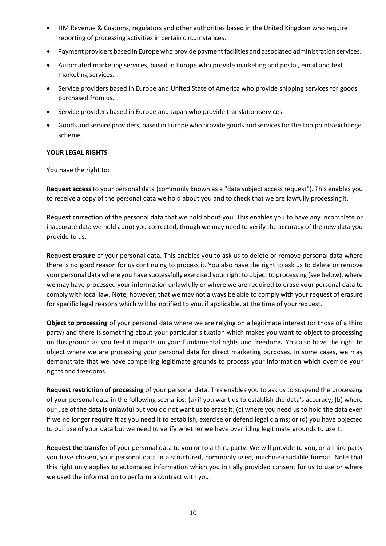- HM Revenue & Customs, regulators and other authorities based in the United Kingdom who require reporting of processing activities in certain circumstances.
- Payment providers based in Europe who provide payment facilities and associated administration services.
- Automated marketing services, based in Europe who provide marketing and postal, email and text marketing services.
- Service providers based in Europe and United State of America who provide shipping services for goods purchased from us.
- Service providers based in Europe and Japan who provide translation services.
- Goods and service providers, based in Europe who provide goods and services for the Toolpoints exchange scheme.

## **YOUR LEGAL RIGHTS**

You have the right to:

**Request access** to your personal data (commonly known as a "data subject access request"). This enables you to receive a copy of the personal data we hold about you and to check that we are lawfully processingit.

**Request correction** of the personal data that we hold about you. This enables you to have any incomplete or inaccurate data we hold about you corrected, though we may need to verify the accuracy of the new data you provide to us.

**Request erasure** of your personal data. This enables you to ask us to delete or remove personal data where there is no good reason for us continuing to process it. You also have the right to ask us to delete or remove your personal data where you have successfully exercised yourright to object to processing (see below), where we may have processed your information unlawfully or where we are required to erase your personal data to comply with local law. Note, however, that we may not always be able to comply with your request of erasure for specific legal reasons which will be notified to you, if applicable, at the time of yourrequest.

**Object to processing** of your personal data where we are relying on a legitimate interest (or those of a third party) and there is something about your particular situation which makes you want to object to processing on this ground as you feel it impacts on your fundamental rights and freedoms. You also have the right to object where we are processing your personal data for direct marketing purposes. In some cases, we may demonstrate that we have compelling legitimate grounds to process your information which override your rights and freedoms.

**Request restriction of processing** of your personal data. This enables you to ask us to suspend the processing of your personal data in the following scenarios: (a) if you want us to establish the data's accuracy; (b) where our use of the data is unlawful but you do not want us to erase it; (c) where you need us to hold the data even if we no longer require it as you need it to establish, exercise or defend legal claims; or (d) you have objected to our use of your data but we need to verify whether we have overriding legitimate grounds to useit.

**Request the transfer** of your personal data to you or to a third party. We will provide to you, or a third party you have chosen, your personal data in a structured, commonly used, machine-readable format. Note that this right only applies to automated information which you initially provided consent for us to use or where we used the information to perform a contract with you.